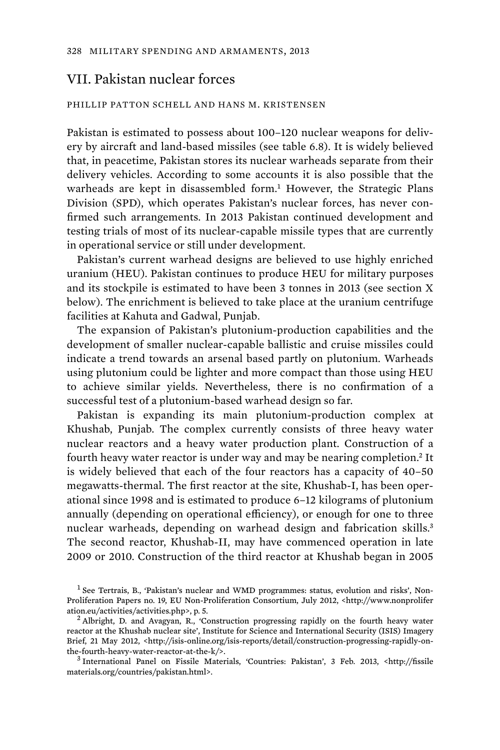## VII. Pakistan nuclear forces

## PHILLIP PATTON SCHELL AND HANS M. KRISTENSEN

Pakistan is estimated to possess about 100–120 nuclear weapons for delivery by aircraft and land-based missiles (see table 6.8). It is widely believed that, in peacetime, Pakistan stores its nuclear warheads separate from their delivery vehicles. According to some accounts it is also possible that the warheads are kept in disassembled form.<sup>1</sup> However, the Strategic Plans Division (SPD), which operates Pakistan's nuclear forces, has never confirmed such arrangements. In 2013 Pakistan continued development and testing trials of most of its nuclear-capable missile types that are currently in operational service or still under development.

Pakistan's current warhead designs are believed to use highly enriched uranium (HEU). Pakistan continues to produce HEU for military purposes and its stockpile is estimated to have been 3 tonnes in 2013 (see section X below). The enrichment is believed to take place at the uranium centrifuge facilities at Kahuta and Gadwal, Punjab.

The expansion of Pakistan's plutonium-production capabilities and the development of smaller nuclear-capable ballistic and cruise missiles could indicate a trend towards an arsenal based partly on plutonium. Warheads using plutonium could be lighter and more compact than those using HEU to achieve similar yields. Nevertheless, there is no confirmation of a successful test of a plutonium-based warhead design so far.

Pakistan is expanding its main plutonium-production complex at Khushab, Punjab. The complex currently consists of three heavy water nuclear reactors and a heavy water production plant. Construction of a fourth heavy water reactor is under way and may be nearing completion.<sup>2</sup> It is widely believed that each of the four reactors has a capacity of 40–50 megawatts-thermal. The first reactor at the site, Khushab-I, has been operational since 1998 and is estimated to produce 6–12 kilograms of plutonium annually (depending on operational efficiency), or enough for one to three nuclear warheads, depending on warhead design and fabrication skills.<sup>3</sup> The second reactor, Khushab-II, may have commenced operation in late 2009 or 2010. Construction of the third reactor at Khushab began in 2005

<sup>&</sup>lt;sup>1</sup> See Tertrais, B., 'Pakistan's nuclear and WMD programmes: status, evolution and risks', Non-Proliferation Papers no. 19, EU Non-Proliferation Consortium, July 2012, <http://www.nonprolifer ation.eu/activities/activities.php>, p. 5. <sup>2</sup>

<sup>&</sup>lt;sup>2</sup> Albright, D. and Avagyan, R., 'Construction progressing rapidly on the fourth heavy water reactor at the Khushab nuclear site', Institute for Science and International Security (ISIS) Imagery Brief, 21 May 2012, <http://isis-online.org/isis-reports/detail/construction-progressing-rapidly-onthe-fourth-heavy-water-reactor-at-the-k/>. <sup>3</sup>

International Panel on Fissile Materials, 'Countries: Pakistan', 3 Feb. 2013, <http://fissile materials.org/countries/pakistan.html>.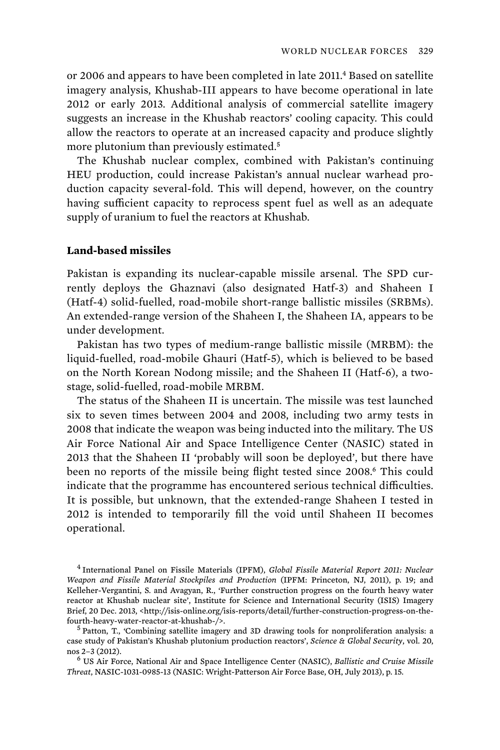or 2006 and appears to have been completed in late 2011.<sup>4</sup> Based on satellite imagery analysis, Khushab-III appears to have become operational in late 2012 or early 2013. Additional analysis of commercial satellite imagery suggests an increase in the Khushab reactors' cooling capacity. This could allow the reactors to operate at an increased capacity and produce slightly more plutonium than previously estimated.<sup>5</sup>

The Khushab nuclear complex, combined with Pakistan's continuing HEU production, could increase Pakistan's annual nuclear warhead production capacity several-fold. This will depend, however, on the country having sufficient capacity to reprocess spent fuel as well as an adequate supply of uranium to fuel the reactors at Khushab.

## **Land-based missiles**

Pakistan is expanding its nuclear-capable missile arsenal. The SPD currently deploys the Ghaznavi (also designated Hatf-3) and Shaheen I (Hatf-4) solid-fuelled, road-mobile short-range ballistic missiles (SRBMs). An extended-range version of the Shaheen I, the Shaheen IA, appears to be under development.

Pakistan has two types of medium-range ballistic missile (MRBM): the liquid-fuelled, road-mobile Ghauri (Hatf-5), which is believed to be based on the North Korean Nodong missile; and the Shaheen II (Hatf-6), a twostage, solid-fuelled, road-mobile MRBM.

 The status of the Shaheen II is uncertain. The missile was test launched six to seven times between 2004 and 2008, including two army tests in 2008 that indicate the weapon was being inducted into the military. The US Air Force National Air and Space Intelligence Center (NASIC) stated in 2013 that the Shaheen II 'probably will soon be deployed', but there have been no reports of the missile being flight tested since 2008.<sup>6</sup> This could indicate that the programme has encountered serious technical difficulties. It is possible, but unknown, that the extended-range Shaheen I tested in 2012 is intended to temporarily fill the void until Shaheen II becomes operational.

4 International Panel on Fissile Materials (IPFM), *Global Fissile Material Report 2011: Nuclear Weapon and Fissile Material Stockpiles and Production* (IPFM: Princeton, NJ, 2011), p. 19; and Kelleher-Vergantini, S. and Avagyan, R., 'Further construction progress on the fourth heavy water reactor at Khushab nuclear site', Institute for Science and International Security (ISIS) Imagery Brief, 20 Dec. 2013, <http://isis-online.org/isis-reports/detail/further-construction-progress-on-thefourth-heavy-water-reactor-at-khushab-/>. <sup>5</sup>

<sup>5</sup> Patton, T., 'Combining satellite imagery and 3D drawing tools for nonproliferation analysis: a case study of Pakistan's Khushab plutonium production reactors', *Science & Global Security*, vol. 20, nos 2–3 (2012). <sup>6</sup>

 US Air Force, National Air and Space Intelligence Center (NASIC), *Ballistic and Cruise Missile Threat*, NASIC-1031-0985-13 (NASIC: Wright-Patterson Air Force Base, OH, July 2013), p. 15.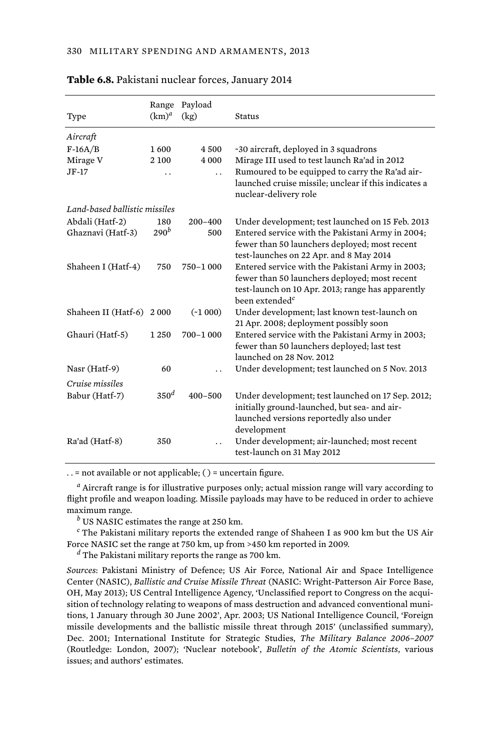|                               | Range            | Payload              |                                                                                                                                                                                      |
|-------------------------------|------------------|----------------------|--------------------------------------------------------------------------------------------------------------------------------------------------------------------------------------|
| Type                          | $(km)^d$         | (kg)                 | Status                                                                                                                                                                               |
| Aircraft                      |                  |                      |                                                                                                                                                                                      |
| $F-16A/B$                     | 1600             | 4500                 | ~30 aircraft, deployed in 3 squadrons                                                                                                                                                |
| Mirage V                      | 2 100            | 4 0 0 0              | Mirage III used to test launch Ra'ad in 2012                                                                                                                                         |
| $JF-17$                       |                  | $\ddot{\phantom{0}}$ | Rumoured to be equipped to carry the Ra'ad air-<br>launched cruise missile; unclear if this indicates a<br>nuclear-delivery role                                                     |
| Land-based ballistic missiles |                  |                      |                                                                                                                                                                                      |
| Abdali (Hatf-2)               | 180              | $200 - 400$          | Under development; test launched on 15 Feb. 2013                                                                                                                                     |
| Ghaznavi (Hatf-3)             | $290^b$          | 500                  | Entered service with the Pakistani Army in 2004;<br>fewer than 50 launchers deployed; most recent<br>test-launches on 22 Apr. and 8 May 2014                                         |
| Shaheen I (Hatf-4)            | 750              | 750-1 000            | Entered service with the Pakistani Army in 2003;<br>fewer than 50 launchers deployed; most recent<br>test-launch on 10 Apr. 2013; range has apparently<br>been extended <sup>c</sup> |
| Shaheen II (Hatf-6)           | 2000             | $(*1000)$            | Under development; last known test-launch on<br>21 Apr. 2008; deployment possibly soon                                                                                               |
| Ghauri (Hatf-5)               | 1 2 5 0          | 700-1000             | Entered service with the Pakistani Army in 2003;<br>fewer than 50 launchers deployed; last test<br>launched on 28 Nov. 2012                                                          |
| Nasr (Hatf-9)                 | 60               |                      | Under development; test launched on 5 Nov. 2013                                                                                                                                      |
| Cruise missiles               |                  |                      |                                                                                                                                                                                      |
| Babur (Hatf-7)                | 350 <sup>d</sup> | $400 - 500$          | Under development; test launched on 17 Sep. 2012;<br>initially ground-launched, but sea- and air-<br>launched versions reportedly also under<br>development                          |
| Ra'ad (Hatf-8)                | 350              |                      | Under development; air-launched; most recent<br>test-launch on 31 May 2012                                                                                                           |

**Table 6.8.** Pakistani nuclear forces, January 2014

. . = not available or not applicable; ( ) = uncertain figure.

*a* Aircraft range is for illustrative purposes only; actual mission range will vary according to flight profile and weapon loading. Missile payloads may have to be reduced in order to achieve maximum range.

*b* US NASIC estimates the range at 250 km.

*c* The Pakistani military reports the extended range of Shaheen I as 900 km but the US Air Force NASIC set the range at 750 km, up from >450 km reported in 2009.

*d* The Pakistani military reports the range as 700 km.

*Sources*: Pakistani Ministry of Defence; US Air Force, National Air and Space Intelligence Center (NASIC), *Ballistic and Cruise Missile Threat* (NASIC: Wright-Patterson Air Force Base, OH, May 2013); US Central Intelligence Agency, 'Unclassified report to Congress on the acquisition of technology relating to weapons of mass destruction and advanced conventional munitions, 1 January through 30 June 2002', Apr. 2003; US National Intelligence Council, 'Foreign missile developments and the ballistic missile threat through 2015' (unclassified summary), Dec. 2001; International Institute for Strategic Studies, *The Military Balance 2006–2007* (Routledge: London, 2007); 'Nuclear notebook', *Bulletin of the Atomic Scientists*, various issues; and authors' estimates.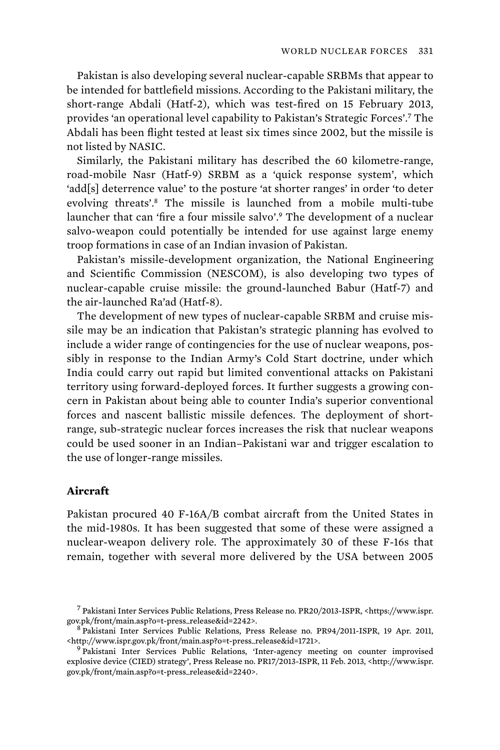Pakistan is also developing several nuclear-capable SRBMs that appear to be intended for battlefield missions. According to the Pakistani military, the short-range Abdali (Hatf-2), which was test-fired on 15 February 2013, provides 'an operational level capability to Pakistan's Strategic Forces'.<sup>7</sup> The Abdali has been flight tested at least six times since 2002, but the missile is not listed by NASIC.

Similarly, the Pakistani military has described the 60 kilometre-range, road-mobile Nasr (Hatf-9) SRBM as a 'quick response system', which 'add[s] deterrence value' to the posture 'at shorter ranges' in order 'to deter evolving threats'.<sup>8</sup> The missile is launched from a mobile multi-tube launcher that can 'fire a four missile salvo'.<sup>9</sup> The development of a nuclear salvo-weapon could potentially be intended for use against large enemy troop formations in case of an Indian invasion of Pakistan.

 Pakistan's missile-development organization, the National Engineering and Scientific Commission (NESCOM), is also developing two types of nuclear-capable cruise missile: the ground-launched Babur (Hatf-7) and the air-launched Ra'ad (Hatf-8).

The development of new types of nuclear-capable SRBM and cruise missile may be an indication that Pakistan's strategic planning has evolved to include a wider range of contingencies for the use of nuclear weapons, possibly in response to the Indian Army's Cold Start doctrine, under which India could carry out rapid but limited conventional attacks on Pakistani territory using forward-deployed forces. It further suggests a growing concern in Pakistan about being able to counter India's superior conventional forces and nascent ballistic missile defences. The deployment of shortrange, sub-strategic nuclear forces increases the risk that nuclear weapons could be used sooner in an Indian–Pakistani war and trigger escalation to the use of longer-range missiles.

## **Aircraft**

Pakistan procured 40 F-16A/B combat aircraft from the United States in the mid-1980s. It has been suggested that some of these were assigned a nuclear-weapon delivery role. The approximately 30 of these F-16s that remain, together with several more delivered by the USA between 2005

<sup>7</sup> Pakistani Inter Services Public Relations, Press Release no. PR20/2013-ISPR, <https://www.ispr. gov.pk/front/main.asp?o=t-press\_release&id=2242>. <sup>8</sup>

Pakistani Inter Services Public Relations, Press Release no. PR94/2011-ISPR, 19 Apr. 2011, <http://www.ispr.gov.pk/front/main.asp?o=t-press\_release&id=1721>. <sup>9</sup>

Pakistani Inter Services Public Relations, 'Inter-agency meeting on counter improvised explosive device (CIED) strategy', Press Release no. PR17/2013-ISPR, 11 Feb. 2013, <http://www.ispr. gov.pk/front/main.asp?o=t-press\_release&id=2240>.